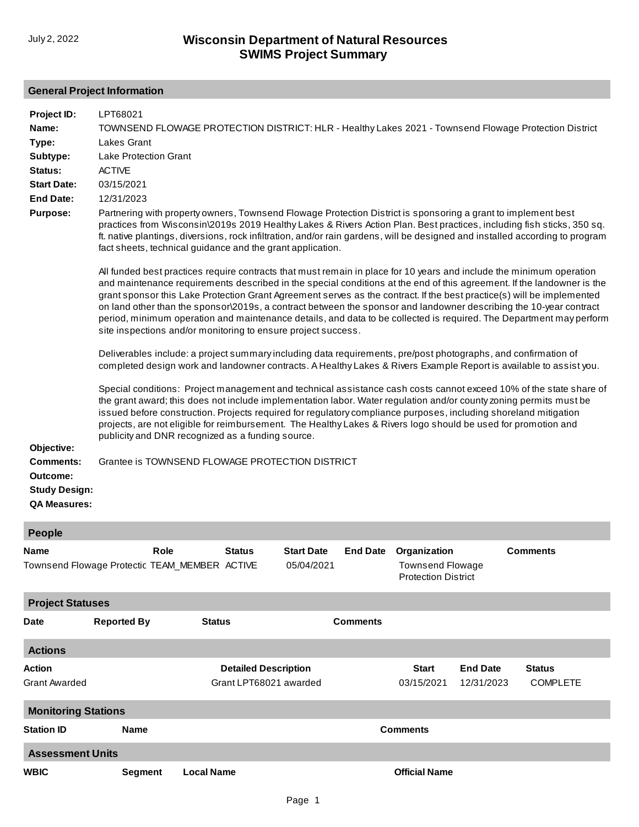## **General Project Information**

| Project ID:<br>Name:<br>Type:<br>Subtype:<br>Status:<br><b>Start Date:</b><br><b>End Date:</b><br>Purpose:<br>Objective:<br>Comments:<br>Outcome:<br><b>Study Design:</b><br><b>QA Measures:</b> | LPT68021<br>TOWNSEND FLOWAGE PROTECTION DISTRICT: HLR - Healthy Lakes 2021 - Townsend Flowage Protection District<br>Lakes Grant<br>Lake Protection Grant<br><b>ACTIVE</b><br>03/15/2021<br>12/31/2023<br>Partnering with property owners, Townsend Flowage Protection District is sponsoring a grant to implement best<br>practices from Wisconsin\2019s 2019 Healthy Lakes & Rivers Action Plan. Best practices, including fish sticks, 350 sq.<br>ft. native plantings, diversions, rock infiltration, and/or rain gardens, will be designed and installed according to program<br>fact sheets, technical guidance and the grant application.<br>All funded best practices require contracts that must remain in place for 10 years and include the minimum operation<br>and maintenance requirements described in the special conditions at the end of this agreement. If the landowner is the<br>grant sponsor this Lake Protection Grant Agreement serves as the contract. If the best practice(s) will be implemented<br>on land other than the sponsor\2019s, a contract between the sponsor and landowner describing the 10-year contract<br>period, minimum operation and maintenance details, and data to be collected is required. The Department may perform<br>site inspections and/or monitoring to ensure project success.<br>Deliverables include: a project summary including data requirements, pre/post photographs, and confirmation of<br>completed design work and landowner contracts. A Healthy Lakes & Rivers Example Report is available to assist you.<br>Special conditions: Project management and technical assistance cash costs cannot exceed 10% of the state share of<br>the grant award; this does not include implementation labor. Water regulation and/or county zoning permits must be<br>issued before construction. Projects required for regulatory compliance purposes, including shoreland mitigation<br>projects, are not eligible for reimbursement. The Healthy Lakes & Rivers logo should be used for promotion and<br>publicity and DNR recognized as a funding source.<br>Grantee is TOWNSEND FLOWAGE PROTECTION DISTRICT |               |                   |                 |                                                       |                 |
|--------------------------------------------------------------------------------------------------------------------------------------------------------------------------------------------------|------------------------------------------------------------------------------------------------------------------------------------------------------------------------------------------------------------------------------------------------------------------------------------------------------------------------------------------------------------------------------------------------------------------------------------------------------------------------------------------------------------------------------------------------------------------------------------------------------------------------------------------------------------------------------------------------------------------------------------------------------------------------------------------------------------------------------------------------------------------------------------------------------------------------------------------------------------------------------------------------------------------------------------------------------------------------------------------------------------------------------------------------------------------------------------------------------------------------------------------------------------------------------------------------------------------------------------------------------------------------------------------------------------------------------------------------------------------------------------------------------------------------------------------------------------------------------------------------------------------------------------------------------------------------------------------------------------------------------------------------------------------------------------------------------------------------------------------------------------------------------------------------------------------------------------------------------------------------------------------------------------------------------------------------------------------------------------------------------------------------------------------------------------------------------|---------------|-------------------|-----------------|-------------------------------------------------------|-----------------|
| <b>People</b><br>Name                                                                                                                                                                            | Role                                                                                                                                                                                                                                                                                                                                                                                                                                                                                                                                                                                                                                                                                                                                                                                                                                                                                                                                                                                                                                                                                                                                                                                                                                                                                                                                                                                                                                                                                                                                                                                                                                                                                                                                                                                                                                                                                                                                                                                                                                                                                                                                                                         | <b>Status</b> | <b>Start Date</b> | <b>End Date</b> | Organization                                          | <b>Comments</b> |
|                                                                                                                                                                                                  | Townsend Flowage Protectic TEAM_MEMBER ACTIVE                                                                                                                                                                                                                                                                                                                                                                                                                                                                                                                                                                                                                                                                                                                                                                                                                                                                                                                                                                                                                                                                                                                                                                                                                                                                                                                                                                                                                                                                                                                                                                                                                                                                                                                                                                                                                                                                                                                                                                                                                                                                                                                                |               | 05/04/2021        |                 | <b>Townsend Flowage</b><br><b>Protection District</b> |                 |
| <b>Project Statuses</b>                                                                                                                                                                          |                                                                                                                                                                                                                                                                                                                                                                                                                                                                                                                                                                                                                                                                                                                                                                                                                                                                                                                                                                                                                                                                                                                                                                                                                                                                                                                                                                                                                                                                                                                                                                                                                                                                                                                                                                                                                                                                                                                                                                                                                                                                                                                                                                              |               |                   |                 |                                                       |                 |

| <b>Date</b>                                    | <b>Status</b><br><b>Reported By</b> |                             | <b>Comments</b>      |                 |                 |  |  |  |
|------------------------------------------------|-------------------------------------|-----------------------------|----------------------|-----------------|-----------------|--|--|--|
| <b>Actions</b>                                 |                                     |                             |                      |                 |                 |  |  |  |
| <b>Action</b>                                  |                                     | <b>Detailed Description</b> | <b>Start</b>         | <b>End Date</b> | <b>Status</b>   |  |  |  |
| Grant LPT68021 awarded<br><b>Grant Awarded</b> |                                     |                             | 03/15/2021           | 12/31/2023      | <b>COMPLETE</b> |  |  |  |
| <b>Monitoring Stations</b>                     |                                     |                             |                      |                 |                 |  |  |  |
| <b>Station ID</b>                              | <b>Name</b>                         | <b>Comments</b>             |                      |                 |                 |  |  |  |
| <b>Assessment Units</b>                        |                                     |                             |                      |                 |                 |  |  |  |
| <b>WBIC</b>                                    | <b>Segment</b>                      | <b>Local Name</b>           | <b>Official Name</b> |                 |                 |  |  |  |